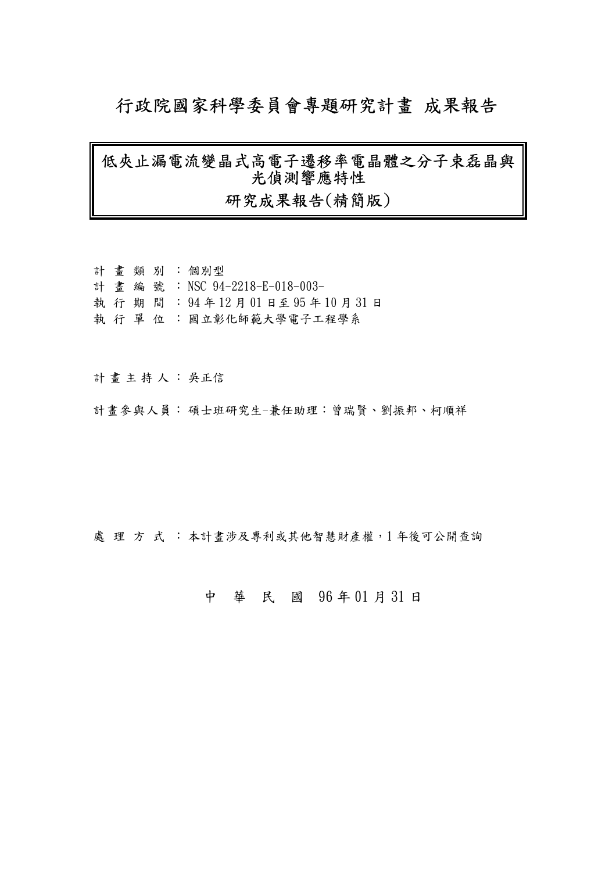# 行政院國家科學委員會專題研究計畫 成果報告

## 低夾止漏電流變晶式高電子遷移率電晶體之分子束磊晶與 光偵測響應特性

## 研究成果報告(精簡版)

|  |  | 計 書 類 別 : 個別型                    |
|--|--|----------------------------------|
|  |  | 計 書 編 號 : NSC 94-2218-E-018-003- |
|  |  | 執行期間: 94年12月01日至95年10月31日        |
|  |  | 執 行 單 位 :國立彰化師範大學電子工程學系          |

計畫主持人: 吳正信

計畫參與人員:碩士班研究生-兼任助理:曾瑞賢、劉振邦、柯順祥

處理方式:本計畫涉及專利或其他智慧財產權,1年後可公開查詢

## 中 華 民 國 96 年 01 月 31 日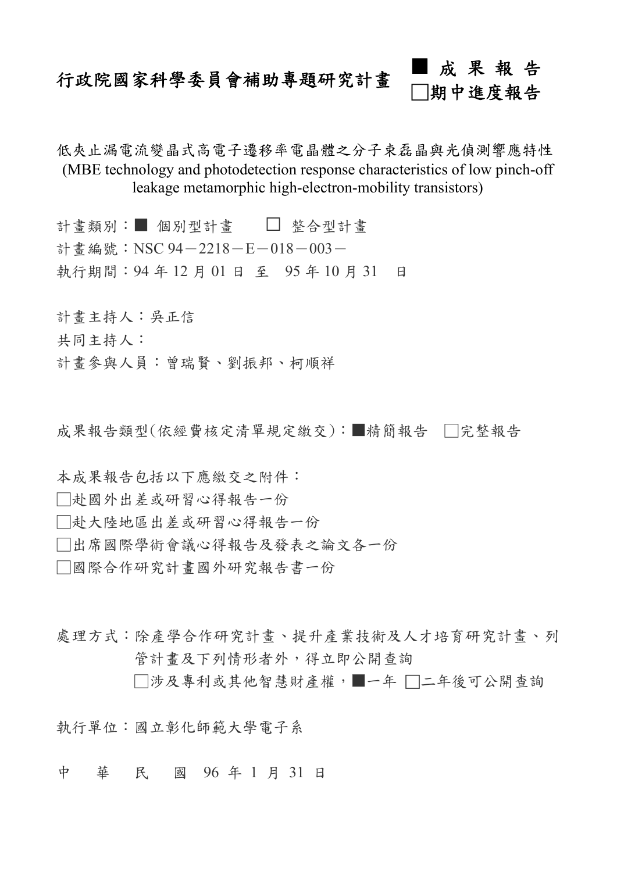# 行政院國家科學委員會補助專題研究計畫 ■ 成 果 報 告 □期中進度報告

低夾止漏電流變晶式高電子遷移率電晶體之分子束磊晶與光偵測響應特性 (MBE technology and photodetection response characteristics of low pinch-off leakage metamorphic high-electron-mobility transistors)

計書類別:■ 個別型計書 □ 整合型計書 計書編號: NSC 94-2218-E-018-003-執行期間:94 年 12 月 01 日 至 95 年 10 月 31 日

計畫主持人:吳正信 共同主持人: 計畫參與人員:曾瑞賢、劉振邦、柯順祥

成果報告類型(依經費核定清單規定繳交):■精簡報告 □完整報告

本成果報告包括以下應繳交之附件:

□赴國外出差或研習心得報告一份

□赴大陸地區出差或研習心得報告一份

□出席國際學術會議心得報告及發表之論文各一份

□國際合作研究計畫國外研究報告書一份

處理方式:除產學合作研究計畫、提升產業技術及人才培育研究計畫、列 管計畫及下列情形者外,得立即公開查詢 □涉及專利或其他智慧財產權,一年 □二年後可公開查詢

執行單位:國立彰化師範大學電子系

中 華 民 國 96 年 1 月 31 日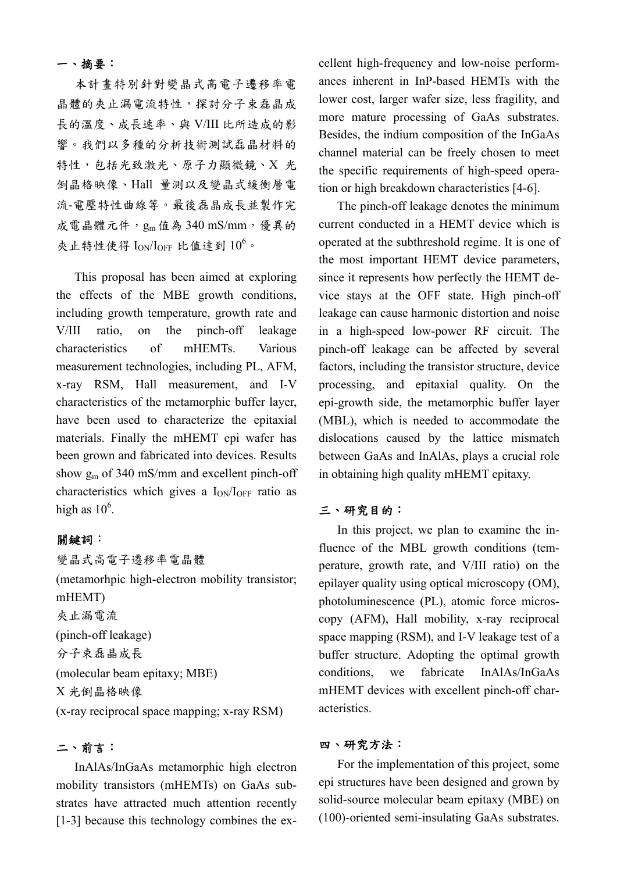#### 一、摘要:

本計畫特別針對變晶式高電子遷移率電 晶體的夾止漏電流特性,探討分子束磊晶成 長的溫度、成長速率、與 V/III 比所造成的影 響。我們以多種的分析技術測試磊晶材料的 特性,包括光致激光、原子力顯微鏡、X 光 倒晶格映像、Hall 量測以及變晶式緩衝層電 流-電壓特性曲線等。最後磊晶成長並製作完 成電晶體元件,gm值為 340 mS/mm,優異的 夾止特性使得  $I_{ON}/I_{OFF}$  比值達到  $10^6$ 。

This proposal has been aimed at exploring the effects of the MBE growth conditions, including growth temperature, growth rate and V/III ratio, on the pinch-off leakage characteristics of mHEMTs. Various measurement technologies, including PL, AFM, x-ray RSM, Hall measurement, and I-V characteristics of the metamorphic buffer layer, have been used to characterize the epitaxial materials. Finally the mHEMT epi wafer has been grown and fabricated into devices. Results show  $g<sub>m</sub>$  of 340 mS/mm and excellent pinch-off characteristics which gives a  $I_{ON}/I_{OFF}$  ratio as high as  $10^6$ .

#### 關鍵詞:

變晶式高電子遷移率電晶體 (metamorhpic high-electron mobility transistor; mHEMT) 夾止漏電流 (pinch-off leakage) 分子束磊晶成長 (molecular beam epitaxy; MBE) X 光倒晶格映像 (x-ray reciprocal space mapping; x-ray RSM)

#### 二、前言:

InAlAs/InGaAs metamorphic high electron mobility transistors (mHEMTs) on GaAs substrates have attracted much attention recently [1-3] because this technology combines the excellent high-frequency and low-noise performances inherent in InP-based HEMTs with the lower cost, larger wafer size, less fragility, and more mature processing of GaAs substrates. Besides, the indium composition of the InGaAs channel material can be freely chosen to meet the specific requirements of high-speed operation or high breakdown characteristics [4-6].

The pinch-off leakage denotes the minimum current conducted in a HEMT device which is operated at the subthreshold regime. It is one of the most important HEMT device parameters, since it represents how perfectly the HEMT device stays at the OFF state. High pinch-off leakage can cause harmonic distortion and noise in a high-speed low-power RF circuit. The pinch-off leakage can be affected by several factors, including the transistor structure, device processing, and epitaxial quality. On the epi-growth side, the metamorphic buffer layer (MBL), which is needed to accommodate the dislocations caused by the lattice mismatch between GaAs and InAlAs, plays a crucial role in obtaining high quality mHEMT epitaxy.

#### 三、研究目的:

In this project, we plan to examine the influence of the MBL growth conditions (temperature, growth rate, and V/III ratio) on the epilayer quality using optical microscopy (OM), photoluminescence (PL), atomic force microscopy (AFM), Hall mobility, x-ray reciprocal space mapping (RSM), and I-V leakage test of a buffer structure. Adopting the optimal growth conditions, we fabricate InAlAs/InGaAs mHEMT devices with excellent pinch-off characteristics.

#### 四、研究方法:

For the implementation of this project, some epi structures have been designed and grown by solid-source molecular beam epitaxy (MBE) on (100)-oriented semi-insulating GaAs substrates.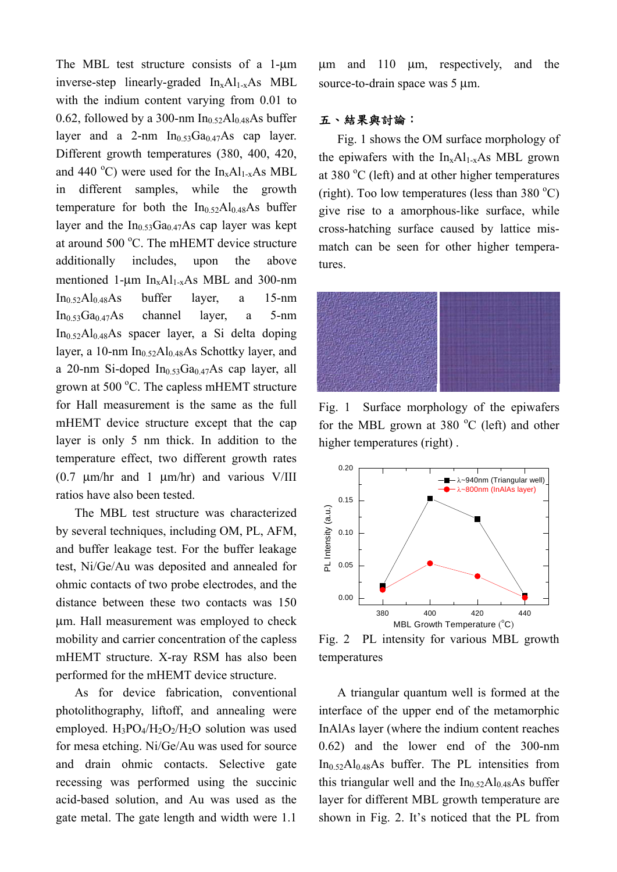The MBL test structure consists of a 1-μm inverse-step linearly-graded  $In_xAl_{1-x}As$  MBL with the indium content varying from 0.01 to 0.62, followed by a 300-nm  $In<sub>0.52</sub>Al<sub>0.48</sub>As buffer$ layer and a 2-nm  $In<sub>0.53</sub>Ga<sub>0.47</sub>As$  cap layer. Different growth temperatures (380, 400, 420, and 440 °C) were used for the  $In_xAl_{1-x}As$  MBL in different samples, while the growth temperature for both the  $In_{0.52}Al_{0.48}As$  buffer layer and the  $In<sub>0.53</sub>Ga<sub>0.47</sub>As$  cap layer was kept at around 500 °C. The mHEMT device structure additionally includes, upon the above mentioned 1-μm  $In_xAl_{1-x}As$  MBL and 300-nm In0.52Al0.48As buffer layer, a 15-nm In0.53Ga0.47As channel layer, a 5-nm  $In<sub>0.52</sub>Al<sub>0.48</sub>As$  spacecraft layer, a Si delta dopinglayer, a 10-nm  $In<sub>0.52</sub>Al<sub>0.48</sub>As Schottky layer, and$ a 20-nm Si-doped  $In<sub>0.53</sub>Ga<sub>0.47</sub>As cap layer, all$ grown at 500 °C. The capless mHEMT structure for Hall measurement is the same as the full mHEMT device structure except that the cap layer is only 5 nm thick. In addition to the temperature effect, two different growth rates (0.7 μm/hr and 1 μm/hr) and various V/III ratios have also been tested.

The MBL test structure was characterized by several techniques, including OM, PL, AFM, and buffer leakage test. For the buffer leakage test, Ni/Ge/Au was deposited and annealed for ohmic contacts of two probe electrodes, and the distance between these two contacts was 150 μm. Hall measurement was employed to check mobility and carrier concentration of the capless mHEMT structure. X-ray RSM has also been performed for the mHEMT device structure.

As for device fabrication, conventional photolithography, liftoff, and annealing were employed.  $H_3PO_4/H_2O_2/H_2O$  solution was used for mesa etching. Ni/Ge/Au was used for source and drain ohmic contacts. Selective gate recessing was performed using the succinic acid-based solution, and Au was used as the gate metal. The gate length and width were 1.1

μm and 110 μm, respectively, and the source-to-drain space was 5 μm.

#### 五、結果與討論:

Fig. 1 shows the OM surface morphology of the epiwafers with the  $In_xAl_{1-x}As$  MBL grown at 380 $\mathrm{^{\circ}C}$  (left) and at other higher temperatures (right). Too low temperatures (less than 380  $^{\circ}$ C) give rise to a amorphous-like surface, while cross-hatching surface caused by lattice mismatch can be seen for other higher temperatures.



Fig. 1 Surface morphology of the epiwafers for the MBL grown at 380  $^{\circ}$ C (left) and other higher temperatures (right) .



Fig. 2 PL intensity for various MBL growth temperatures

A triangular quantum well is formed at the interface of the upper end of the metamorphic InAlAs layer (where the indium content reaches 0.62) and the lower end of the 300-nm  $In_{0.52}Al_{0.48}As$  buffer. The PL intensities from this triangular well and the  $In_{0.52}Al_{0.48}As$  buffer layer for different MBL growth temperature are shown in Fig. 2. It's noticed that the PL from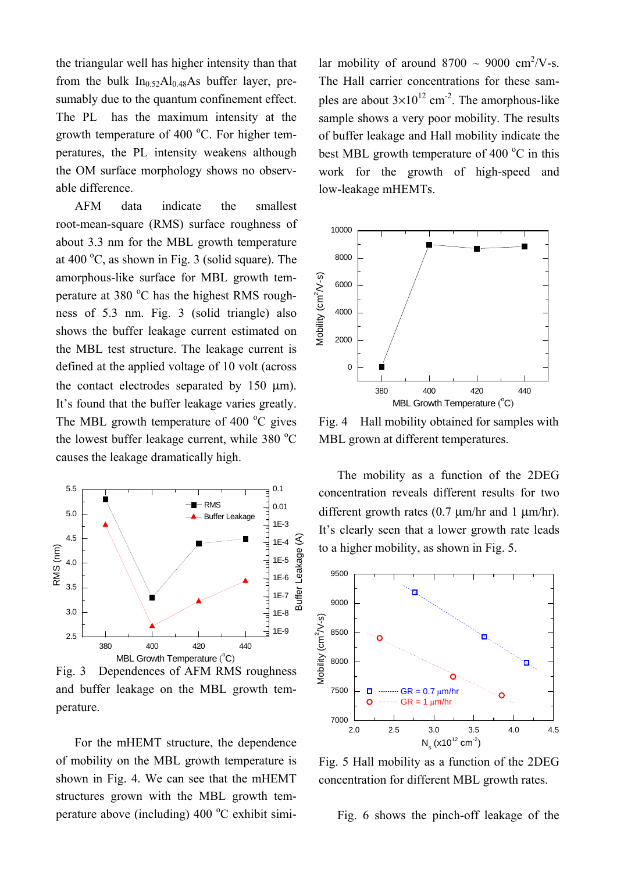the triangular well has higher intensity than that from the bulk  $In_{0.52}Al_{0.48}As$  buffer layer, presumably due to the quantum confinement effect. The PL has the maximum intensity at the growth temperature of 400  $^{\circ}$ C. For higher temperatures, the PL intensity weakens although the OM surface morphology shows no observable difference.

AFM data indicate the smallest root-mean-square (RMS) surface roughness of about 3.3 nm for the MBL growth temperature at  $400^{\circ}$ C, as shown in Fig. 3 (solid square). The amorphous-like surface for MBL growth temperature at 380 °C has the highest RMS roughness of 5.3 nm. Fig. 3 (solid triangle) also shows the buffer leakage current estimated on the MBL test structure. The leakage current is defined at the applied voltage of 10 volt (across the contact electrodes separated by 150 μm). It's found that the buffer leakage varies greatly. The MBL growth temperature of 400 $\degree$ C gives the lowest buffer leakage current, while  $380 °C$ causes the leakage dramatically high.



Fig. 3 Dependences of AFM RMS roughness and buffer leakage on the MBL growth temperature.

For the mHEMT structure, the dependence of mobility on the MBL growth temperature is shown in Fig. 4. We can see that the mHEMT structures grown with the MBL growth temperature above (including)  $400^{\circ}$ C exhibit simi-

lar mobility of around  $8700 \sim 9000 \text{ cm}^2/\text{V-s}.$ The Hall carrier concentrations for these samples are about  $3 \times 10^{12}$  cm<sup>-2</sup>. The amorphous-like sample shows a very poor mobility. The results of buffer leakage and Hall mobility indicate the best MBL growth temperature of 400 $\degree$ C in this work for the growth of high-speed and low-leakage mHEMTs.



Fig. 4 Hall mobility obtained for samples with MBL grown at different temperatures.

The mobility as a function of the 2DEG concentration reveals different results for two different growth rates (0.7 μm/hr and 1 μm/hr). It's clearly seen that a lower growth rate leads to a higher mobility, as shown in Fig. 5.



Fig. 5 Hall mobility as a function of the 2DEG concentration for different MBL growth rates.

Fig. 6 shows the pinch-off leakage of the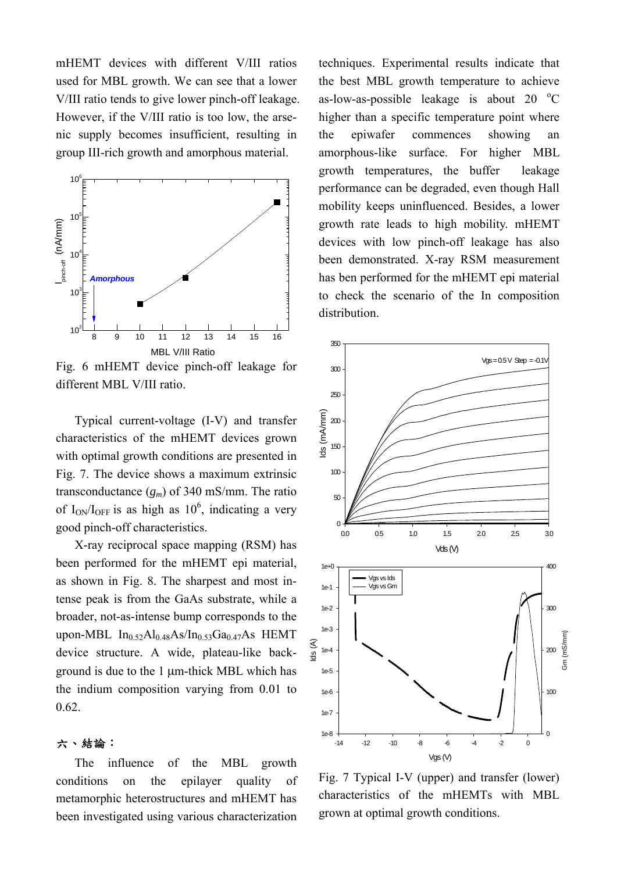mHEMT devices with different V/III ratios used for MBL growth. We can see that a lower V/III ratio tends to give lower pinch-off leakage. However, if the V/III ratio is too low, the arsenic supply becomes insufficient, resulting in group III-rich growth and amorphous material.



Fig. 6 mHEMT device pinch-off leakage for different MBL V/III ratio.

Typical current-voltage (I-V) and transfer characteristics of the mHEMT devices grown with optimal growth conditions are presented in Fig. 7. The device shows a maximum extrinsic transconductance (*gm*) of 340 mS/mm. The ratio of  $I_{ON}/I_{OFF}$  is as high as  $10^6$ , indicating a very good pinch-off characteristics.

X-ray reciprocal space mapping (RSM) has been performed for the mHEMT epi material, as shown in Fig. 8. The sharpest and most intense peak is from the GaAs substrate, while a broader, not-as-intense bump corresponds to the upon-MBL  $In_{0.52}Al_{0.48}As/In_{0.53}Ga_{0.47}As$  HEMT device structure. A wide, plateau-like background is due to the 1 μm-thick MBL which has the indium composition varying from 0.01 to 0.62.

#### 六、結論:

The influence of the MBL growth conditions on the epilayer quality of metamorphic heterostructures and mHEMT has been investigated using various characterization techniques. Experimental results indicate that the best MBL growth temperature to achieve as-low-as-possible leakage is about  $20\degree$ C higher than a specific temperature point where the epiwafer commences showing an amorphous-like surface. For higher MBL growth temperatures, the buffer leakage performance can be degraded, even though Hall mobility keeps uninfluenced. Besides, a lower growth rate leads to high mobility. mHEMT devices with low pinch-off leakage has also been demonstrated. X-ray RSM measurement has ben performed for the mHEMT epi material to check the scenario of the In composition distribution.



Fig. 7 Typical I-V (upper) and transfer (lower) characteristics of the mHEMTs with MBL grown at optimal growth conditions.